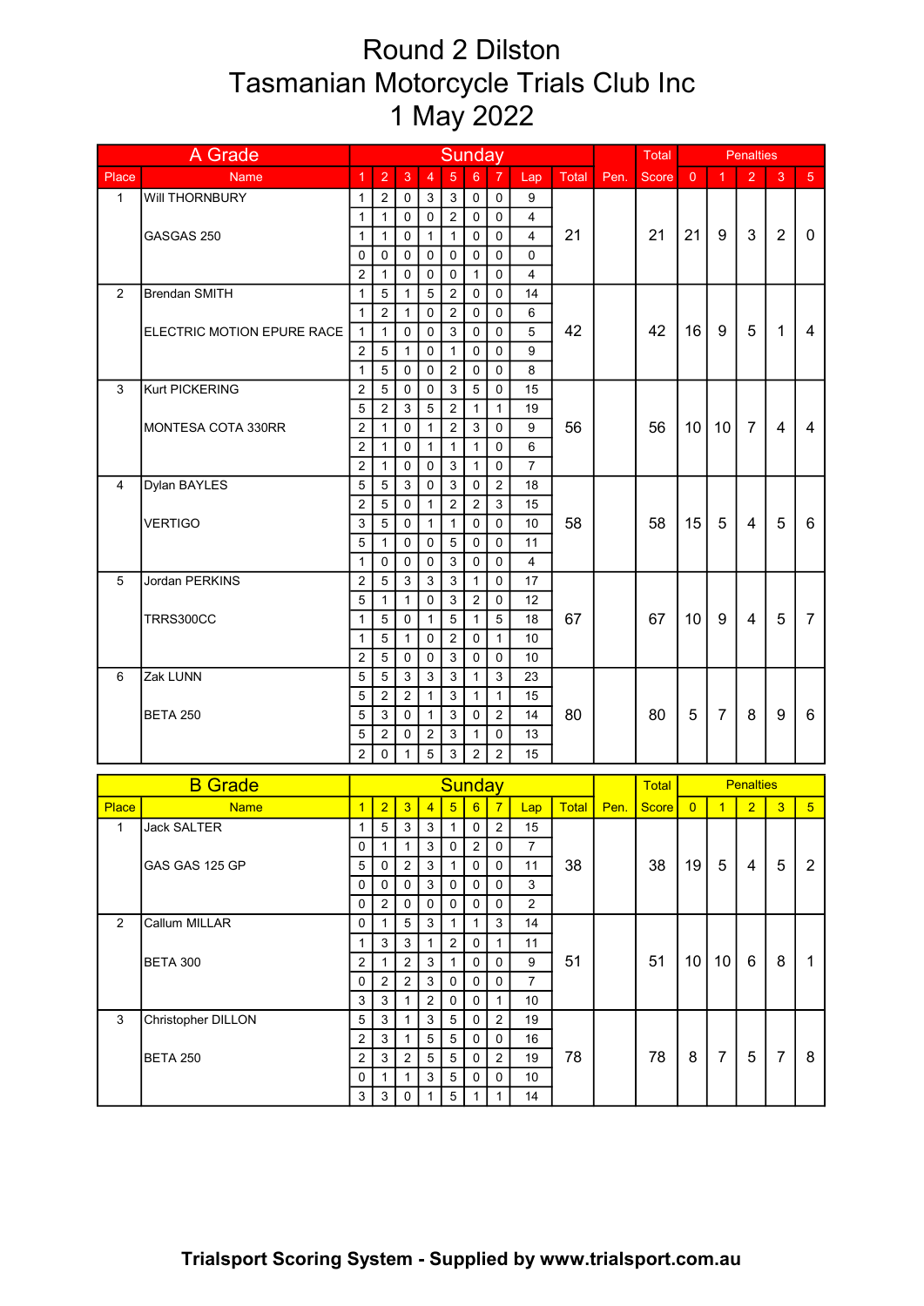## Round 2 Dilston Tasmanian Motorcycle Trials Club Inc 1 May 2022

| $\overline{2}$<br>$\overline{5}$<br>$\overline{2}$<br>$\overline{4}$<br>$6\phantom{a}$<br>$\overline{7}$<br>3<br>Place<br>$\overline{1}$<br>3<br><b>Total</b><br>$\overline{0}$<br>$\overline{1}$<br>5 <sup>5</sup><br>Lap<br>Pen.<br><b>Score</b><br><b>Name</b><br>Will THORNBURY<br>$\sqrt{2}$<br>$\sqrt{3}$<br>$\mathbf{1}$<br>$\mathbf 0$<br>3<br>0<br>$\mathbf 0$<br>9<br>1<br>$\overline{2}$<br>$\mathbf{1}$<br>$\mathbf 0$<br>$\mathbf 0$<br>0<br>1<br>0<br>4<br>$\overline{2}$<br>21<br>21<br>9<br>3<br>21<br>$\mathbf{0}$<br>GASGAS 250<br>$\mathbf{1}$<br>0<br>$\mathbf{1}$<br>$\mathbf{1}$<br>0<br>0<br>$\overline{4}$<br>1<br>0<br>0<br>0<br>$\Omega$<br>0<br>0<br>$\Omega$<br>0<br>$\overline{2}$<br>$\mathbf{1}$<br>$\mathbf 0$<br>$\mathbf 0$<br>$\mathbf{1}$<br>$\mathbf 0$<br>$\overline{4}$<br>0<br>5<br>$\overline{5}$<br>$\overline{2}$<br>$\overline{c}$<br><b>Brendan SMITH</b><br>$\mathbf{1}$<br>0<br>14<br>1<br>0<br>2<br>$\mathbf 0$<br>$\overline{2}$<br>$\mathbf{1}$<br>$\mathbf{1}$<br>0<br>0<br>6<br>42<br>42<br>16<br>9<br>5<br>1<br>$\overline{4}$<br>$\mathbf 0$<br>3<br>0<br>0<br>$\sqrt{5}$<br>ELECTRIC MOTION EPURE RACE<br>$\mathbf{1}$<br>$\mathbf{1}$<br>0<br>2<br>5<br>$\mathbf 0$<br>0<br>$\mathbf 0$<br>9<br>$\mathbf{1}$<br>$\mathbf{1}$<br>5<br>$\overline{2}$<br>$\mathbf{1}$<br>$\mathbf 0$<br>$\mathbf 0$<br>$\mathbf 0$<br>8<br>0<br>$\overline{c}$<br>Kurt PICKERING<br>5<br>$\sqrt{3}$<br>5<br>15<br>3<br>$\mathbf 0$<br>$\mathbf 0$<br>0<br>$\overline{c}$<br>5<br>2<br>$\sqrt{5}$<br>$\mathbf{1}$<br>3<br>1<br>19<br>56<br>56<br>$\overline{7}$<br>$\overline{2}$<br>10<br>10<br>4<br>4<br>$\overline{c}$<br>3<br>$\mathbf 0$<br>9<br>$\mathbf{1}$<br>0<br>$\mathbf{1}$<br>MONTESA COTA 330RR<br>$\overline{2}$<br>$\pmb{0}$<br>6<br>$\mathbf{1}$<br>$\mathbf{1}$<br>0<br>$\mathbf{1}$<br>$\mathbf{1}$<br>$\overline{7}$<br>$\overline{c}$<br>$\mathbf{3}$<br>$\mathbf 0$<br>0<br>$\mathbf 0$<br>1<br>$\mathbf{1}$<br>Dylan BAYLES<br>5<br>5<br>$\mathbf{3}$<br>$\boldsymbol{2}$<br>4<br>3<br>$\mathbf 0$<br>$\mathbf 0$<br>18<br>$\overline{2}$<br>2<br>5<br>$\overline{c}$<br>3<br>$\mathbf 0$<br>$\mathbf{1}$<br>15<br>5<br>58<br>15<br>5<br>3<br>5<br>58<br>4<br>6<br><b>VERTIGO</b><br>$\mathbf{1}$<br>$\mathbf{1}$<br>0<br>0<br>0<br>10<br>5<br>$\sqrt{5}$<br>$\mathbf{1}$<br>0<br>0<br>0<br>0<br>11<br>$\mathbf{1}$<br>$\mathbf 0$<br>0<br>3<br>0<br>0<br>$\overline{4}$<br>0<br>Jordan PERKINS<br>$\sqrt{3}$<br>5<br>2<br>5<br>3<br>3<br>0<br>17<br>1<br>5<br>$\mathfrak{S}$<br>$\mathbf{1}$<br>$\mathbf 0$<br>$\overline{2}$<br>$\mathbf 0$<br>12<br>1<br>67<br>10<br>9<br>$\overline{4}$<br>5<br>5<br>$\sqrt{5}$<br>5<br>67<br>$\overline{7}$<br>TRRS300CC<br>$\mathbf{1}$<br>0<br>$\mathbf{1}$<br>$\mathbf{1}$<br>18<br>2<br>1<br>5<br>0<br>0<br>$\mathbf{1}$<br>10<br>1<br>2<br>5<br>$\mathbf{3}$<br>$\mathbf 0$<br>$\mathbf 0$<br>0<br>0<br>10<br>5<br>$\mathbf{3}$<br>5<br>$\sqrt{3}$<br>3<br>$\mathbf{1}$<br>3<br>6<br>Zak LUNN<br>23<br>5<br>$\overline{c}$<br>$\overline{2}$<br>$\mathfrak{S}$<br>$\mathbf{1}$<br>$\mathbf{1}$<br>$\mathbf{1}$<br>15<br>80<br>5<br>$\overline{7}$<br>9<br>3<br>3<br>$\overline{2}$<br>80<br>8<br>6<br><b>BETA 250</b><br>5<br>0<br>$\mathbf{1}$<br>0<br>14<br>5<br>$\mathbf{2}$<br>$\overline{c}$<br>3<br>0<br>13<br>0<br>1<br>$\overline{2}$<br>$\overline{5}$<br>3<br>$\overline{2}$<br>$\overline{2}$<br>$\mathbf 0$<br>15<br>1<br><b>B</b> Grade<br>Sunday<br><b>Penalties</b><br><b>Total</b><br>$\overline{2}$<br>$\overline{5}$<br>$\overline{7}$<br>$\overline{2}$<br>5 <sup>1</sup><br>$\overline{1}$<br>$\overline{3}$<br>$\overline{4}$<br>6<br><b>Total</b><br>$\overline{1}$<br>$\overline{3}$<br><b>Place</b><br><b>Name</b><br><b>Score</b><br>$\overline{0}$<br>Lap<br>Pen.<br>5<br>3<br>3<br>$\mathbf{1}$<br>$\overline{2}$<br>15<br>$\mathbf{1}$<br><b>Jack SALTER</b><br>$\mathbf{1}$<br>0<br>3<br>$\overline{c}$<br>$\overline{7}$<br>1<br>$\mathbf{1}$<br>0<br>0<br>0<br>5<br>5<br>38<br>38<br>19<br>$\overline{2}$<br>3<br>$\mathsf 0$<br>11<br>4<br>5<br>$\overline{2}$<br>$\mathbf{1}$<br>$\mathbf 0$<br>GAS GAS 125 GP<br>0<br>3<br>0<br>3<br>0<br>0<br>0<br>0<br>0<br>$\overline{2}$<br>$\overline{c}$<br>0<br>0<br>0<br>0<br>0<br>0<br>$\overline{2}$<br>Callum MILLAR<br>$\mathbf{3}$<br>$\,$ 5 $\,$<br>$\mathbf{3}$<br>14<br>0<br>$\mathbf{1}$<br>1<br>$\mathbf{1}$<br>$\sqrt{2}$<br>3<br>3<br>1<br>$\mathbf{1}$<br>0<br>1<br>11<br>51<br>10 <sup>1</sup><br>8<br>51<br>10 <sup>1</sup><br>6<br>$\mathbf{1}$<br><b>BETA 300</b><br>2<br>$\overline{2}$<br>3<br>9<br>1<br>$\mathbf{1}$<br>0<br>0<br>$\overline{2}$<br>$\overline{a}$<br>3<br>0<br>0<br>$\overline{7}$<br>0<br>0<br>3<br>3<br>$\overline{2}$<br>$\mathbf{1}$<br>1<br>$\mathbf 0$<br>0<br>10<br>3<br>Christopher DILLON<br>5<br>$\mathbf{3}$<br>$\sqrt{3}$<br>$\overline{2}$<br>5<br>0<br>19<br>1<br>$\overline{2}$<br>5<br>3<br>5<br>0<br>0<br>16<br>1 | A Grade         | <b>Sunday</b>  |   |                |            |   |   |                | <b>Total</b> |    |    | <b>Penalties</b> |                |   |                |   |
|---------------------------------------------------------------------------------------------------------------------------------------------------------------------------------------------------------------------------------------------------------------------------------------------------------------------------------------------------------------------------------------------------------------------------------------------------------------------------------------------------------------------------------------------------------------------------------------------------------------------------------------------------------------------------------------------------------------------------------------------------------------------------------------------------------------------------------------------------------------------------------------------------------------------------------------------------------------------------------------------------------------------------------------------------------------------------------------------------------------------------------------------------------------------------------------------------------------------------------------------------------------------------------------------------------------------------------------------------------------------------------------------------------------------------------------------------------------------------------------------------------------------------------------------------------------------------------------------------------------------------------------------------------------------------------------------------------------------------------------------------------------------------------------------------------------------------------------------------------------------------------------------------------------------------------------------------------------------------------------------------------------------------------------------------------------------------------------------------------------------------------------------------------------------------------------------------------------------------------------------------------------------------------------------------------------------------------------------------------------------------------------------------------------------------------------------------------------------------------------------------------------------------------------------------------------------------------------------------------------------------------------------------------------------------------------------------------------------------------------------------------------------------------------------------------------------------------------------------------------------------------------------------------------------------------------------------------------------------------------------------------------------------------------------------------------------------------------------------------------------------------------------------------------------------------------------------------------------------------------------------------------------------------------------------------------------------------------------------------------------------------------------------------------------------------------------------------------------------------------------------------------------------------------------------------------------------------------------------------------------------------------------------------------------------------------------------------------------------------------------------------------------------------------------------------------------------------------------------------------------------------------------------------------------------------------------------------------------------------------------------------------------------------------------------------------------------------------------------------------------------------------------------------------------------------------------------------------------------------------------------------------------------------------------------------------------------------------------------------------------------------------------------------------------------------------------------------------------------------------------------------------------------------------------------------------------------------------------------------------------------------------------------------------------------------------------------------------------------------------------------------------------------------------------------------------------------------------------------------------------------------------------------------------------------------------------------------|-----------------|----------------|---|----------------|------------|---|---|----------------|--------------|----|----|------------------|----------------|---|----------------|---|
|                                                                                                                                                                                                                                                                                                                                                                                                                                                                                                                                                                                                                                                                                                                                                                                                                                                                                                                                                                                                                                                                                                                                                                                                                                                                                                                                                                                                                                                                                                                                                                                                                                                                                                                                                                                                                                                                                                                                                                                                                                                                                                                                                                                                                                                                                                                                                                                                                                                                                                                                                                                                                                                                                                                                                                                                                                                                                                                                                                                                                                                                                                                                                                                                                                                                                                                                                                                                                                                                                                                                                                                                                                                                                                                                                                                                                                                                                                                                                                                                                                                                                                                                                                                                                                                                                                                                                                                                                                                                                                                                                                                                                                                                                                                                                                                                                                                                                                                                                         |                 |                |   |                |            |   |   |                |              |    |    |                  |                |   |                |   |
|                                                                                                                                                                                                                                                                                                                                                                                                                                                                                                                                                                                                                                                                                                                                                                                                                                                                                                                                                                                                                                                                                                                                                                                                                                                                                                                                                                                                                                                                                                                                                                                                                                                                                                                                                                                                                                                                                                                                                                                                                                                                                                                                                                                                                                                                                                                                                                                                                                                                                                                                                                                                                                                                                                                                                                                                                                                                                                                                                                                                                                                                                                                                                                                                                                                                                                                                                                                                                                                                                                                                                                                                                                                                                                                                                                                                                                                                                                                                                                                                                                                                                                                                                                                                                                                                                                                                                                                                                                                                                                                                                                                                                                                                                                                                                                                                                                                                                                                                                         |                 |                |   |                |            |   |   |                |              |    |    |                  |                |   |                |   |
|                                                                                                                                                                                                                                                                                                                                                                                                                                                                                                                                                                                                                                                                                                                                                                                                                                                                                                                                                                                                                                                                                                                                                                                                                                                                                                                                                                                                                                                                                                                                                                                                                                                                                                                                                                                                                                                                                                                                                                                                                                                                                                                                                                                                                                                                                                                                                                                                                                                                                                                                                                                                                                                                                                                                                                                                                                                                                                                                                                                                                                                                                                                                                                                                                                                                                                                                                                                                                                                                                                                                                                                                                                                                                                                                                                                                                                                                                                                                                                                                                                                                                                                                                                                                                                                                                                                                                                                                                                                                                                                                                                                                                                                                                                                                                                                                                                                                                                                                                         |                 |                |   |                |            |   |   |                |              |    |    |                  |                |   |                |   |
|                                                                                                                                                                                                                                                                                                                                                                                                                                                                                                                                                                                                                                                                                                                                                                                                                                                                                                                                                                                                                                                                                                                                                                                                                                                                                                                                                                                                                                                                                                                                                                                                                                                                                                                                                                                                                                                                                                                                                                                                                                                                                                                                                                                                                                                                                                                                                                                                                                                                                                                                                                                                                                                                                                                                                                                                                                                                                                                                                                                                                                                                                                                                                                                                                                                                                                                                                                                                                                                                                                                                                                                                                                                                                                                                                                                                                                                                                                                                                                                                                                                                                                                                                                                                                                                                                                                                                                                                                                                                                                                                                                                                                                                                                                                                                                                                                                                                                                                                                         |                 |                |   |                |            |   |   |                |              |    |    |                  |                |   |                |   |
|                                                                                                                                                                                                                                                                                                                                                                                                                                                                                                                                                                                                                                                                                                                                                                                                                                                                                                                                                                                                                                                                                                                                                                                                                                                                                                                                                                                                                                                                                                                                                                                                                                                                                                                                                                                                                                                                                                                                                                                                                                                                                                                                                                                                                                                                                                                                                                                                                                                                                                                                                                                                                                                                                                                                                                                                                                                                                                                                                                                                                                                                                                                                                                                                                                                                                                                                                                                                                                                                                                                                                                                                                                                                                                                                                                                                                                                                                                                                                                                                                                                                                                                                                                                                                                                                                                                                                                                                                                                                                                                                                                                                                                                                                                                                                                                                                                                                                                                                                         |                 |                |   |                |            |   |   |                |              |    |    |                  |                |   |                |   |
|                                                                                                                                                                                                                                                                                                                                                                                                                                                                                                                                                                                                                                                                                                                                                                                                                                                                                                                                                                                                                                                                                                                                                                                                                                                                                                                                                                                                                                                                                                                                                                                                                                                                                                                                                                                                                                                                                                                                                                                                                                                                                                                                                                                                                                                                                                                                                                                                                                                                                                                                                                                                                                                                                                                                                                                                                                                                                                                                                                                                                                                                                                                                                                                                                                                                                                                                                                                                                                                                                                                                                                                                                                                                                                                                                                                                                                                                                                                                                                                                                                                                                                                                                                                                                                                                                                                                                                                                                                                                                                                                                                                                                                                                                                                                                                                                                                                                                                                                                         |                 |                |   |                |            |   |   |                |              |    |    |                  |                |   |                |   |
|                                                                                                                                                                                                                                                                                                                                                                                                                                                                                                                                                                                                                                                                                                                                                                                                                                                                                                                                                                                                                                                                                                                                                                                                                                                                                                                                                                                                                                                                                                                                                                                                                                                                                                                                                                                                                                                                                                                                                                                                                                                                                                                                                                                                                                                                                                                                                                                                                                                                                                                                                                                                                                                                                                                                                                                                                                                                                                                                                                                                                                                                                                                                                                                                                                                                                                                                                                                                                                                                                                                                                                                                                                                                                                                                                                                                                                                                                                                                                                                                                                                                                                                                                                                                                                                                                                                                                                                                                                                                                                                                                                                                                                                                                                                                                                                                                                                                                                                                                         |                 |                |   |                |            |   |   |                |              |    |    |                  |                |   |                |   |
|                                                                                                                                                                                                                                                                                                                                                                                                                                                                                                                                                                                                                                                                                                                                                                                                                                                                                                                                                                                                                                                                                                                                                                                                                                                                                                                                                                                                                                                                                                                                                                                                                                                                                                                                                                                                                                                                                                                                                                                                                                                                                                                                                                                                                                                                                                                                                                                                                                                                                                                                                                                                                                                                                                                                                                                                                                                                                                                                                                                                                                                                                                                                                                                                                                                                                                                                                                                                                                                                                                                                                                                                                                                                                                                                                                                                                                                                                                                                                                                                                                                                                                                                                                                                                                                                                                                                                                                                                                                                                                                                                                                                                                                                                                                                                                                                                                                                                                                                                         |                 |                |   |                |            |   |   |                |              |    |    |                  |                |   |                |   |
|                                                                                                                                                                                                                                                                                                                                                                                                                                                                                                                                                                                                                                                                                                                                                                                                                                                                                                                                                                                                                                                                                                                                                                                                                                                                                                                                                                                                                                                                                                                                                                                                                                                                                                                                                                                                                                                                                                                                                                                                                                                                                                                                                                                                                                                                                                                                                                                                                                                                                                                                                                                                                                                                                                                                                                                                                                                                                                                                                                                                                                                                                                                                                                                                                                                                                                                                                                                                                                                                                                                                                                                                                                                                                                                                                                                                                                                                                                                                                                                                                                                                                                                                                                                                                                                                                                                                                                                                                                                                                                                                                                                                                                                                                                                                                                                                                                                                                                                                                         |                 |                |   |                |            |   |   |                |              |    |    |                  |                |   |                |   |
|                                                                                                                                                                                                                                                                                                                                                                                                                                                                                                                                                                                                                                                                                                                                                                                                                                                                                                                                                                                                                                                                                                                                                                                                                                                                                                                                                                                                                                                                                                                                                                                                                                                                                                                                                                                                                                                                                                                                                                                                                                                                                                                                                                                                                                                                                                                                                                                                                                                                                                                                                                                                                                                                                                                                                                                                                                                                                                                                                                                                                                                                                                                                                                                                                                                                                                                                                                                                                                                                                                                                                                                                                                                                                                                                                                                                                                                                                                                                                                                                                                                                                                                                                                                                                                                                                                                                                                                                                                                                                                                                                                                                                                                                                                                                                                                                                                                                                                                                                         |                 |                |   |                |            |   |   |                |              |    |    |                  |                |   |                |   |
|                                                                                                                                                                                                                                                                                                                                                                                                                                                                                                                                                                                                                                                                                                                                                                                                                                                                                                                                                                                                                                                                                                                                                                                                                                                                                                                                                                                                                                                                                                                                                                                                                                                                                                                                                                                                                                                                                                                                                                                                                                                                                                                                                                                                                                                                                                                                                                                                                                                                                                                                                                                                                                                                                                                                                                                                                                                                                                                                                                                                                                                                                                                                                                                                                                                                                                                                                                                                                                                                                                                                                                                                                                                                                                                                                                                                                                                                                                                                                                                                                                                                                                                                                                                                                                                                                                                                                                                                                                                                                                                                                                                                                                                                                                                                                                                                                                                                                                                                                         |                 |                |   |                |            |   |   |                |              |    |    |                  |                |   |                |   |
|                                                                                                                                                                                                                                                                                                                                                                                                                                                                                                                                                                                                                                                                                                                                                                                                                                                                                                                                                                                                                                                                                                                                                                                                                                                                                                                                                                                                                                                                                                                                                                                                                                                                                                                                                                                                                                                                                                                                                                                                                                                                                                                                                                                                                                                                                                                                                                                                                                                                                                                                                                                                                                                                                                                                                                                                                                                                                                                                                                                                                                                                                                                                                                                                                                                                                                                                                                                                                                                                                                                                                                                                                                                                                                                                                                                                                                                                                                                                                                                                                                                                                                                                                                                                                                                                                                                                                                                                                                                                                                                                                                                                                                                                                                                                                                                                                                                                                                                                                         |                 |                |   |                |            |   |   |                |              |    |    |                  |                |   |                |   |
|                                                                                                                                                                                                                                                                                                                                                                                                                                                                                                                                                                                                                                                                                                                                                                                                                                                                                                                                                                                                                                                                                                                                                                                                                                                                                                                                                                                                                                                                                                                                                                                                                                                                                                                                                                                                                                                                                                                                                                                                                                                                                                                                                                                                                                                                                                                                                                                                                                                                                                                                                                                                                                                                                                                                                                                                                                                                                                                                                                                                                                                                                                                                                                                                                                                                                                                                                                                                                                                                                                                                                                                                                                                                                                                                                                                                                                                                                                                                                                                                                                                                                                                                                                                                                                                                                                                                                                                                                                                                                                                                                                                                                                                                                                                                                                                                                                                                                                                                                         |                 |                |   |                |            |   |   |                |              |    |    |                  |                |   |                |   |
|                                                                                                                                                                                                                                                                                                                                                                                                                                                                                                                                                                                                                                                                                                                                                                                                                                                                                                                                                                                                                                                                                                                                                                                                                                                                                                                                                                                                                                                                                                                                                                                                                                                                                                                                                                                                                                                                                                                                                                                                                                                                                                                                                                                                                                                                                                                                                                                                                                                                                                                                                                                                                                                                                                                                                                                                                                                                                                                                                                                                                                                                                                                                                                                                                                                                                                                                                                                                                                                                                                                                                                                                                                                                                                                                                                                                                                                                                                                                                                                                                                                                                                                                                                                                                                                                                                                                                                                                                                                                                                                                                                                                                                                                                                                                                                                                                                                                                                                                                         |                 |                |   |                |            |   |   |                |              |    |    |                  |                |   |                |   |
|                                                                                                                                                                                                                                                                                                                                                                                                                                                                                                                                                                                                                                                                                                                                                                                                                                                                                                                                                                                                                                                                                                                                                                                                                                                                                                                                                                                                                                                                                                                                                                                                                                                                                                                                                                                                                                                                                                                                                                                                                                                                                                                                                                                                                                                                                                                                                                                                                                                                                                                                                                                                                                                                                                                                                                                                                                                                                                                                                                                                                                                                                                                                                                                                                                                                                                                                                                                                                                                                                                                                                                                                                                                                                                                                                                                                                                                                                                                                                                                                                                                                                                                                                                                                                                                                                                                                                                                                                                                                                                                                                                                                                                                                                                                                                                                                                                                                                                                                                         |                 |                |   |                |            |   |   |                |              |    |    |                  |                |   |                |   |
|                                                                                                                                                                                                                                                                                                                                                                                                                                                                                                                                                                                                                                                                                                                                                                                                                                                                                                                                                                                                                                                                                                                                                                                                                                                                                                                                                                                                                                                                                                                                                                                                                                                                                                                                                                                                                                                                                                                                                                                                                                                                                                                                                                                                                                                                                                                                                                                                                                                                                                                                                                                                                                                                                                                                                                                                                                                                                                                                                                                                                                                                                                                                                                                                                                                                                                                                                                                                                                                                                                                                                                                                                                                                                                                                                                                                                                                                                                                                                                                                                                                                                                                                                                                                                                                                                                                                                                                                                                                                                                                                                                                                                                                                                                                                                                                                                                                                                                                                                         |                 |                |   |                |            |   |   |                |              |    |    |                  |                |   |                |   |
|                                                                                                                                                                                                                                                                                                                                                                                                                                                                                                                                                                                                                                                                                                                                                                                                                                                                                                                                                                                                                                                                                                                                                                                                                                                                                                                                                                                                                                                                                                                                                                                                                                                                                                                                                                                                                                                                                                                                                                                                                                                                                                                                                                                                                                                                                                                                                                                                                                                                                                                                                                                                                                                                                                                                                                                                                                                                                                                                                                                                                                                                                                                                                                                                                                                                                                                                                                                                                                                                                                                                                                                                                                                                                                                                                                                                                                                                                                                                                                                                                                                                                                                                                                                                                                                                                                                                                                                                                                                                                                                                                                                                                                                                                                                                                                                                                                                                                                                                                         |                 |                |   |                |            |   |   |                |              |    |    |                  |                |   |                |   |
|                                                                                                                                                                                                                                                                                                                                                                                                                                                                                                                                                                                                                                                                                                                                                                                                                                                                                                                                                                                                                                                                                                                                                                                                                                                                                                                                                                                                                                                                                                                                                                                                                                                                                                                                                                                                                                                                                                                                                                                                                                                                                                                                                                                                                                                                                                                                                                                                                                                                                                                                                                                                                                                                                                                                                                                                                                                                                                                                                                                                                                                                                                                                                                                                                                                                                                                                                                                                                                                                                                                                                                                                                                                                                                                                                                                                                                                                                                                                                                                                                                                                                                                                                                                                                                                                                                                                                                                                                                                                                                                                                                                                                                                                                                                                                                                                                                                                                                                                                         |                 |                |   |                |            |   |   |                |              |    |    |                  |                |   |                |   |
|                                                                                                                                                                                                                                                                                                                                                                                                                                                                                                                                                                                                                                                                                                                                                                                                                                                                                                                                                                                                                                                                                                                                                                                                                                                                                                                                                                                                                                                                                                                                                                                                                                                                                                                                                                                                                                                                                                                                                                                                                                                                                                                                                                                                                                                                                                                                                                                                                                                                                                                                                                                                                                                                                                                                                                                                                                                                                                                                                                                                                                                                                                                                                                                                                                                                                                                                                                                                                                                                                                                                                                                                                                                                                                                                                                                                                                                                                                                                                                                                                                                                                                                                                                                                                                                                                                                                                                                                                                                                                                                                                                                                                                                                                                                                                                                                                                                                                                                                                         |                 |                |   |                |            |   |   |                |              |    |    |                  |                |   |                |   |
|                                                                                                                                                                                                                                                                                                                                                                                                                                                                                                                                                                                                                                                                                                                                                                                                                                                                                                                                                                                                                                                                                                                                                                                                                                                                                                                                                                                                                                                                                                                                                                                                                                                                                                                                                                                                                                                                                                                                                                                                                                                                                                                                                                                                                                                                                                                                                                                                                                                                                                                                                                                                                                                                                                                                                                                                                                                                                                                                                                                                                                                                                                                                                                                                                                                                                                                                                                                                                                                                                                                                                                                                                                                                                                                                                                                                                                                                                                                                                                                                                                                                                                                                                                                                                                                                                                                                                                                                                                                                                                                                                                                                                                                                                                                                                                                                                                                                                                                                                         |                 |                |   |                |            |   |   |                |              |    |    |                  |                |   |                |   |
|                                                                                                                                                                                                                                                                                                                                                                                                                                                                                                                                                                                                                                                                                                                                                                                                                                                                                                                                                                                                                                                                                                                                                                                                                                                                                                                                                                                                                                                                                                                                                                                                                                                                                                                                                                                                                                                                                                                                                                                                                                                                                                                                                                                                                                                                                                                                                                                                                                                                                                                                                                                                                                                                                                                                                                                                                                                                                                                                                                                                                                                                                                                                                                                                                                                                                                                                                                                                                                                                                                                                                                                                                                                                                                                                                                                                                                                                                                                                                                                                                                                                                                                                                                                                                                                                                                                                                                                                                                                                                                                                                                                                                                                                                                                                                                                                                                                                                                                                                         |                 |                |   |                |            |   |   |                |              |    |    |                  |                |   |                |   |
|                                                                                                                                                                                                                                                                                                                                                                                                                                                                                                                                                                                                                                                                                                                                                                                                                                                                                                                                                                                                                                                                                                                                                                                                                                                                                                                                                                                                                                                                                                                                                                                                                                                                                                                                                                                                                                                                                                                                                                                                                                                                                                                                                                                                                                                                                                                                                                                                                                                                                                                                                                                                                                                                                                                                                                                                                                                                                                                                                                                                                                                                                                                                                                                                                                                                                                                                                                                                                                                                                                                                                                                                                                                                                                                                                                                                                                                                                                                                                                                                                                                                                                                                                                                                                                                                                                                                                                                                                                                                                                                                                                                                                                                                                                                                                                                                                                                                                                                                                         |                 |                |   |                |            |   |   |                |              |    |    |                  |                |   |                |   |
|                                                                                                                                                                                                                                                                                                                                                                                                                                                                                                                                                                                                                                                                                                                                                                                                                                                                                                                                                                                                                                                                                                                                                                                                                                                                                                                                                                                                                                                                                                                                                                                                                                                                                                                                                                                                                                                                                                                                                                                                                                                                                                                                                                                                                                                                                                                                                                                                                                                                                                                                                                                                                                                                                                                                                                                                                                                                                                                                                                                                                                                                                                                                                                                                                                                                                                                                                                                                                                                                                                                                                                                                                                                                                                                                                                                                                                                                                                                                                                                                                                                                                                                                                                                                                                                                                                                                                                                                                                                                                                                                                                                                                                                                                                                                                                                                                                                                                                                                                         |                 |                |   |                |            |   |   |                |              |    |    |                  |                |   |                |   |
|                                                                                                                                                                                                                                                                                                                                                                                                                                                                                                                                                                                                                                                                                                                                                                                                                                                                                                                                                                                                                                                                                                                                                                                                                                                                                                                                                                                                                                                                                                                                                                                                                                                                                                                                                                                                                                                                                                                                                                                                                                                                                                                                                                                                                                                                                                                                                                                                                                                                                                                                                                                                                                                                                                                                                                                                                                                                                                                                                                                                                                                                                                                                                                                                                                                                                                                                                                                                                                                                                                                                                                                                                                                                                                                                                                                                                                                                                                                                                                                                                                                                                                                                                                                                                                                                                                                                                                                                                                                                                                                                                                                                                                                                                                                                                                                                                                                                                                                                                         |                 |                |   |                |            |   |   |                |              |    |    |                  |                |   |                |   |
|                                                                                                                                                                                                                                                                                                                                                                                                                                                                                                                                                                                                                                                                                                                                                                                                                                                                                                                                                                                                                                                                                                                                                                                                                                                                                                                                                                                                                                                                                                                                                                                                                                                                                                                                                                                                                                                                                                                                                                                                                                                                                                                                                                                                                                                                                                                                                                                                                                                                                                                                                                                                                                                                                                                                                                                                                                                                                                                                                                                                                                                                                                                                                                                                                                                                                                                                                                                                                                                                                                                                                                                                                                                                                                                                                                                                                                                                                                                                                                                                                                                                                                                                                                                                                                                                                                                                                                                                                                                                                                                                                                                                                                                                                                                                                                                                                                                                                                                                                         |                 |                |   |                |            |   |   |                |              |    |    |                  |                |   |                |   |
|                                                                                                                                                                                                                                                                                                                                                                                                                                                                                                                                                                                                                                                                                                                                                                                                                                                                                                                                                                                                                                                                                                                                                                                                                                                                                                                                                                                                                                                                                                                                                                                                                                                                                                                                                                                                                                                                                                                                                                                                                                                                                                                                                                                                                                                                                                                                                                                                                                                                                                                                                                                                                                                                                                                                                                                                                                                                                                                                                                                                                                                                                                                                                                                                                                                                                                                                                                                                                                                                                                                                                                                                                                                                                                                                                                                                                                                                                                                                                                                                                                                                                                                                                                                                                                                                                                                                                                                                                                                                                                                                                                                                                                                                                                                                                                                                                                                                                                                                                         |                 |                |   |                |            |   |   |                |              |    |    |                  |                |   |                |   |
|                                                                                                                                                                                                                                                                                                                                                                                                                                                                                                                                                                                                                                                                                                                                                                                                                                                                                                                                                                                                                                                                                                                                                                                                                                                                                                                                                                                                                                                                                                                                                                                                                                                                                                                                                                                                                                                                                                                                                                                                                                                                                                                                                                                                                                                                                                                                                                                                                                                                                                                                                                                                                                                                                                                                                                                                                                                                                                                                                                                                                                                                                                                                                                                                                                                                                                                                                                                                                                                                                                                                                                                                                                                                                                                                                                                                                                                                                                                                                                                                                                                                                                                                                                                                                                                                                                                                                                                                                                                                                                                                                                                                                                                                                                                                                                                                                                                                                                                                                         |                 |                |   |                |            |   |   |                |              |    |    |                  |                |   |                |   |
|                                                                                                                                                                                                                                                                                                                                                                                                                                                                                                                                                                                                                                                                                                                                                                                                                                                                                                                                                                                                                                                                                                                                                                                                                                                                                                                                                                                                                                                                                                                                                                                                                                                                                                                                                                                                                                                                                                                                                                                                                                                                                                                                                                                                                                                                                                                                                                                                                                                                                                                                                                                                                                                                                                                                                                                                                                                                                                                                                                                                                                                                                                                                                                                                                                                                                                                                                                                                                                                                                                                                                                                                                                                                                                                                                                                                                                                                                                                                                                                                                                                                                                                                                                                                                                                                                                                                                                                                                                                                                                                                                                                                                                                                                                                                                                                                                                                                                                                                                         |                 |                |   |                |            |   |   |                |              |    |    |                  |                |   |                |   |
|                                                                                                                                                                                                                                                                                                                                                                                                                                                                                                                                                                                                                                                                                                                                                                                                                                                                                                                                                                                                                                                                                                                                                                                                                                                                                                                                                                                                                                                                                                                                                                                                                                                                                                                                                                                                                                                                                                                                                                                                                                                                                                                                                                                                                                                                                                                                                                                                                                                                                                                                                                                                                                                                                                                                                                                                                                                                                                                                                                                                                                                                                                                                                                                                                                                                                                                                                                                                                                                                                                                                                                                                                                                                                                                                                                                                                                                                                                                                                                                                                                                                                                                                                                                                                                                                                                                                                                                                                                                                                                                                                                                                                                                                                                                                                                                                                                                                                                                                                         |                 |                |   |                |            |   |   |                |              |    |    |                  |                |   |                |   |
|                                                                                                                                                                                                                                                                                                                                                                                                                                                                                                                                                                                                                                                                                                                                                                                                                                                                                                                                                                                                                                                                                                                                                                                                                                                                                                                                                                                                                                                                                                                                                                                                                                                                                                                                                                                                                                                                                                                                                                                                                                                                                                                                                                                                                                                                                                                                                                                                                                                                                                                                                                                                                                                                                                                                                                                                                                                                                                                                                                                                                                                                                                                                                                                                                                                                                                                                                                                                                                                                                                                                                                                                                                                                                                                                                                                                                                                                                                                                                                                                                                                                                                                                                                                                                                                                                                                                                                                                                                                                                                                                                                                                                                                                                                                                                                                                                                                                                                                                                         |                 |                |   |                |            |   |   |                |              |    |    |                  |                |   |                |   |
|                                                                                                                                                                                                                                                                                                                                                                                                                                                                                                                                                                                                                                                                                                                                                                                                                                                                                                                                                                                                                                                                                                                                                                                                                                                                                                                                                                                                                                                                                                                                                                                                                                                                                                                                                                                                                                                                                                                                                                                                                                                                                                                                                                                                                                                                                                                                                                                                                                                                                                                                                                                                                                                                                                                                                                                                                                                                                                                                                                                                                                                                                                                                                                                                                                                                                                                                                                                                                                                                                                                                                                                                                                                                                                                                                                                                                                                                                                                                                                                                                                                                                                                                                                                                                                                                                                                                                                                                                                                                                                                                                                                                                                                                                                                                                                                                                                                                                                                                                         |                 |                |   |                |            |   |   |                |              |    |    |                  |                |   |                |   |
|                                                                                                                                                                                                                                                                                                                                                                                                                                                                                                                                                                                                                                                                                                                                                                                                                                                                                                                                                                                                                                                                                                                                                                                                                                                                                                                                                                                                                                                                                                                                                                                                                                                                                                                                                                                                                                                                                                                                                                                                                                                                                                                                                                                                                                                                                                                                                                                                                                                                                                                                                                                                                                                                                                                                                                                                                                                                                                                                                                                                                                                                                                                                                                                                                                                                                                                                                                                                                                                                                                                                                                                                                                                                                                                                                                                                                                                                                                                                                                                                                                                                                                                                                                                                                                                                                                                                                                                                                                                                                                                                                                                                                                                                                                                                                                                                                                                                                                                                                         |                 |                |   |                |            |   |   |                |              |    |    |                  |                |   |                |   |
|                                                                                                                                                                                                                                                                                                                                                                                                                                                                                                                                                                                                                                                                                                                                                                                                                                                                                                                                                                                                                                                                                                                                                                                                                                                                                                                                                                                                                                                                                                                                                                                                                                                                                                                                                                                                                                                                                                                                                                                                                                                                                                                                                                                                                                                                                                                                                                                                                                                                                                                                                                                                                                                                                                                                                                                                                                                                                                                                                                                                                                                                                                                                                                                                                                                                                                                                                                                                                                                                                                                                                                                                                                                                                                                                                                                                                                                                                                                                                                                                                                                                                                                                                                                                                                                                                                                                                                                                                                                                                                                                                                                                                                                                                                                                                                                                                                                                                                                                                         |                 |                |   |                |            |   |   |                |              |    |    |                  |                |   |                |   |
|                                                                                                                                                                                                                                                                                                                                                                                                                                                                                                                                                                                                                                                                                                                                                                                                                                                                                                                                                                                                                                                                                                                                                                                                                                                                                                                                                                                                                                                                                                                                                                                                                                                                                                                                                                                                                                                                                                                                                                                                                                                                                                                                                                                                                                                                                                                                                                                                                                                                                                                                                                                                                                                                                                                                                                                                                                                                                                                                                                                                                                                                                                                                                                                                                                                                                                                                                                                                                                                                                                                                                                                                                                                                                                                                                                                                                                                                                                                                                                                                                                                                                                                                                                                                                                                                                                                                                                                                                                                                                                                                                                                                                                                                                                                                                                                                                                                                                                                                                         |                 |                |   |                |            |   |   |                |              |    |    |                  |                |   |                |   |
|                                                                                                                                                                                                                                                                                                                                                                                                                                                                                                                                                                                                                                                                                                                                                                                                                                                                                                                                                                                                                                                                                                                                                                                                                                                                                                                                                                                                                                                                                                                                                                                                                                                                                                                                                                                                                                                                                                                                                                                                                                                                                                                                                                                                                                                                                                                                                                                                                                                                                                                                                                                                                                                                                                                                                                                                                                                                                                                                                                                                                                                                                                                                                                                                                                                                                                                                                                                                                                                                                                                                                                                                                                                                                                                                                                                                                                                                                                                                                                                                                                                                                                                                                                                                                                                                                                                                                                                                                                                                                                                                                                                                                                                                                                                                                                                                                                                                                                                                                         |                 |                |   |                |            |   |   |                |              |    |    |                  |                |   |                |   |
|                                                                                                                                                                                                                                                                                                                                                                                                                                                                                                                                                                                                                                                                                                                                                                                                                                                                                                                                                                                                                                                                                                                                                                                                                                                                                                                                                                                                                                                                                                                                                                                                                                                                                                                                                                                                                                                                                                                                                                                                                                                                                                                                                                                                                                                                                                                                                                                                                                                                                                                                                                                                                                                                                                                                                                                                                                                                                                                                                                                                                                                                                                                                                                                                                                                                                                                                                                                                                                                                                                                                                                                                                                                                                                                                                                                                                                                                                                                                                                                                                                                                                                                                                                                                                                                                                                                                                                                                                                                                                                                                                                                                                                                                                                                                                                                                                                                                                                                                                         |                 |                |   |                |            |   |   |                |              |    |    |                  |                |   |                |   |
|                                                                                                                                                                                                                                                                                                                                                                                                                                                                                                                                                                                                                                                                                                                                                                                                                                                                                                                                                                                                                                                                                                                                                                                                                                                                                                                                                                                                                                                                                                                                                                                                                                                                                                                                                                                                                                                                                                                                                                                                                                                                                                                                                                                                                                                                                                                                                                                                                                                                                                                                                                                                                                                                                                                                                                                                                                                                                                                                                                                                                                                                                                                                                                                                                                                                                                                                                                                                                                                                                                                                                                                                                                                                                                                                                                                                                                                                                                                                                                                                                                                                                                                                                                                                                                                                                                                                                                                                                                                                                                                                                                                                                                                                                                                                                                                                                                                                                                                                                         |                 |                |   |                |            |   |   |                |              |    |    |                  |                |   |                |   |
|                                                                                                                                                                                                                                                                                                                                                                                                                                                                                                                                                                                                                                                                                                                                                                                                                                                                                                                                                                                                                                                                                                                                                                                                                                                                                                                                                                                                                                                                                                                                                                                                                                                                                                                                                                                                                                                                                                                                                                                                                                                                                                                                                                                                                                                                                                                                                                                                                                                                                                                                                                                                                                                                                                                                                                                                                                                                                                                                                                                                                                                                                                                                                                                                                                                                                                                                                                                                                                                                                                                                                                                                                                                                                                                                                                                                                                                                                                                                                                                                                                                                                                                                                                                                                                                                                                                                                                                                                                                                                                                                                                                                                                                                                                                                                                                                                                                                                                                                                         |                 |                |   |                |            |   |   |                |              |    |    |                  |                |   |                |   |
|                                                                                                                                                                                                                                                                                                                                                                                                                                                                                                                                                                                                                                                                                                                                                                                                                                                                                                                                                                                                                                                                                                                                                                                                                                                                                                                                                                                                                                                                                                                                                                                                                                                                                                                                                                                                                                                                                                                                                                                                                                                                                                                                                                                                                                                                                                                                                                                                                                                                                                                                                                                                                                                                                                                                                                                                                                                                                                                                                                                                                                                                                                                                                                                                                                                                                                                                                                                                                                                                                                                                                                                                                                                                                                                                                                                                                                                                                                                                                                                                                                                                                                                                                                                                                                                                                                                                                                                                                                                                                                                                                                                                                                                                                                                                                                                                                                                                                                                                                         |                 |                |   |                |            |   |   |                |              |    |    |                  |                |   |                |   |
|                                                                                                                                                                                                                                                                                                                                                                                                                                                                                                                                                                                                                                                                                                                                                                                                                                                                                                                                                                                                                                                                                                                                                                                                                                                                                                                                                                                                                                                                                                                                                                                                                                                                                                                                                                                                                                                                                                                                                                                                                                                                                                                                                                                                                                                                                                                                                                                                                                                                                                                                                                                                                                                                                                                                                                                                                                                                                                                                                                                                                                                                                                                                                                                                                                                                                                                                                                                                                                                                                                                                                                                                                                                                                                                                                                                                                                                                                                                                                                                                                                                                                                                                                                                                                                                                                                                                                                                                                                                                                                                                                                                                                                                                                                                                                                                                                                                                                                                                                         |                 |                |   |                |            |   |   |                |              |    |    |                  |                |   |                |   |
|                                                                                                                                                                                                                                                                                                                                                                                                                                                                                                                                                                                                                                                                                                                                                                                                                                                                                                                                                                                                                                                                                                                                                                                                                                                                                                                                                                                                                                                                                                                                                                                                                                                                                                                                                                                                                                                                                                                                                                                                                                                                                                                                                                                                                                                                                                                                                                                                                                                                                                                                                                                                                                                                                                                                                                                                                                                                                                                                                                                                                                                                                                                                                                                                                                                                                                                                                                                                                                                                                                                                                                                                                                                                                                                                                                                                                                                                                                                                                                                                                                                                                                                                                                                                                                                                                                                                                                                                                                                                                                                                                                                                                                                                                                                                                                                                                                                                                                                                                         |                 |                |   |                |            |   |   |                |              |    |    |                  |                |   |                |   |
|                                                                                                                                                                                                                                                                                                                                                                                                                                                                                                                                                                                                                                                                                                                                                                                                                                                                                                                                                                                                                                                                                                                                                                                                                                                                                                                                                                                                                                                                                                                                                                                                                                                                                                                                                                                                                                                                                                                                                                                                                                                                                                                                                                                                                                                                                                                                                                                                                                                                                                                                                                                                                                                                                                                                                                                                                                                                                                                                                                                                                                                                                                                                                                                                                                                                                                                                                                                                                                                                                                                                                                                                                                                                                                                                                                                                                                                                                                                                                                                                                                                                                                                                                                                                                                                                                                                                                                                                                                                                                                                                                                                                                                                                                                                                                                                                                                                                                                                                                         |                 |                |   |                |            |   |   |                |              |    |    |                  |                |   |                |   |
|                                                                                                                                                                                                                                                                                                                                                                                                                                                                                                                                                                                                                                                                                                                                                                                                                                                                                                                                                                                                                                                                                                                                                                                                                                                                                                                                                                                                                                                                                                                                                                                                                                                                                                                                                                                                                                                                                                                                                                                                                                                                                                                                                                                                                                                                                                                                                                                                                                                                                                                                                                                                                                                                                                                                                                                                                                                                                                                                                                                                                                                                                                                                                                                                                                                                                                                                                                                                                                                                                                                                                                                                                                                                                                                                                                                                                                                                                                                                                                                                                                                                                                                                                                                                                                                                                                                                                                                                                                                                                                                                                                                                                                                                                                                                                                                                                                                                                                                                                         |                 |                |   |                |            |   |   |                |              |    |    |                  |                |   |                |   |
|                                                                                                                                                                                                                                                                                                                                                                                                                                                                                                                                                                                                                                                                                                                                                                                                                                                                                                                                                                                                                                                                                                                                                                                                                                                                                                                                                                                                                                                                                                                                                                                                                                                                                                                                                                                                                                                                                                                                                                                                                                                                                                                                                                                                                                                                                                                                                                                                                                                                                                                                                                                                                                                                                                                                                                                                                                                                                                                                                                                                                                                                                                                                                                                                                                                                                                                                                                                                                                                                                                                                                                                                                                                                                                                                                                                                                                                                                                                                                                                                                                                                                                                                                                                                                                                                                                                                                                                                                                                                                                                                                                                                                                                                                                                                                                                                                                                                                                                                                         |                 |                |   |                |            |   |   |                |              |    |    |                  |                |   |                |   |
|                                                                                                                                                                                                                                                                                                                                                                                                                                                                                                                                                                                                                                                                                                                                                                                                                                                                                                                                                                                                                                                                                                                                                                                                                                                                                                                                                                                                                                                                                                                                                                                                                                                                                                                                                                                                                                                                                                                                                                                                                                                                                                                                                                                                                                                                                                                                                                                                                                                                                                                                                                                                                                                                                                                                                                                                                                                                                                                                                                                                                                                                                                                                                                                                                                                                                                                                                                                                                                                                                                                                                                                                                                                                                                                                                                                                                                                                                                                                                                                                                                                                                                                                                                                                                                                                                                                                                                                                                                                                                                                                                                                                                                                                                                                                                                                                                                                                                                                                                         | <b>BETA 250</b> | $\overline{c}$ | 3 | $\overline{c}$ | $\sqrt{5}$ | 5 | 0 | $\overline{c}$ | 19           | 78 | 78 | 8                | $\overline{7}$ | 5 | $\overline{7}$ | 8 |
| $\mathbf{3}$<br>$\,$ 5 $\,$<br>0<br>$\mathbf{1}$<br>0<br>0<br>10<br>1                                                                                                                                                                                                                                                                                                                                                                                                                                                                                                                                                                                                                                                                                                                                                                                                                                                                                                                                                                                                                                                                                                                                                                                                                                                                                                                                                                                                                                                                                                                                                                                                                                                                                                                                                                                                                                                                                                                                                                                                                                                                                                                                                                                                                                                                                                                                                                                                                                                                                                                                                                                                                                                                                                                                                                                                                                                                                                                                                                                                                                                                                                                                                                                                                                                                                                                                                                                                                                                                                                                                                                                                                                                                                                                                                                                                                                                                                                                                                                                                                                                                                                                                                                                                                                                                                                                                                                                                                                                                                                                                                                                                                                                                                                                                                                                                                                                                                   |                 |                |   |                |            |   |   |                |              |    |    |                  |                |   |                |   |
| $\sqrt{5}$<br>3<br>$\mathsf 3$<br>0<br>$\mathbf{1}$<br>$\mathbf{1}$<br>14<br>1                                                                                                                                                                                                                                                                                                                                                                                                                                                                                                                                                                                                                                                                                                                                                                                                                                                                                                                                                                                                                                                                                                                                                                                                                                                                                                                                                                                                                                                                                                                                                                                                                                                                                                                                                                                                                                                                                                                                                                                                                                                                                                                                                                                                                                                                                                                                                                                                                                                                                                                                                                                                                                                                                                                                                                                                                                                                                                                                                                                                                                                                                                                                                                                                                                                                                                                                                                                                                                                                                                                                                                                                                                                                                                                                                                                                                                                                                                                                                                                                                                                                                                                                                                                                                                                                                                                                                                                                                                                                                                                                                                                                                                                                                                                                                                                                                                                                          |                 |                |   |                |            |   |   |                |              |    |    |                  |                |   |                |   |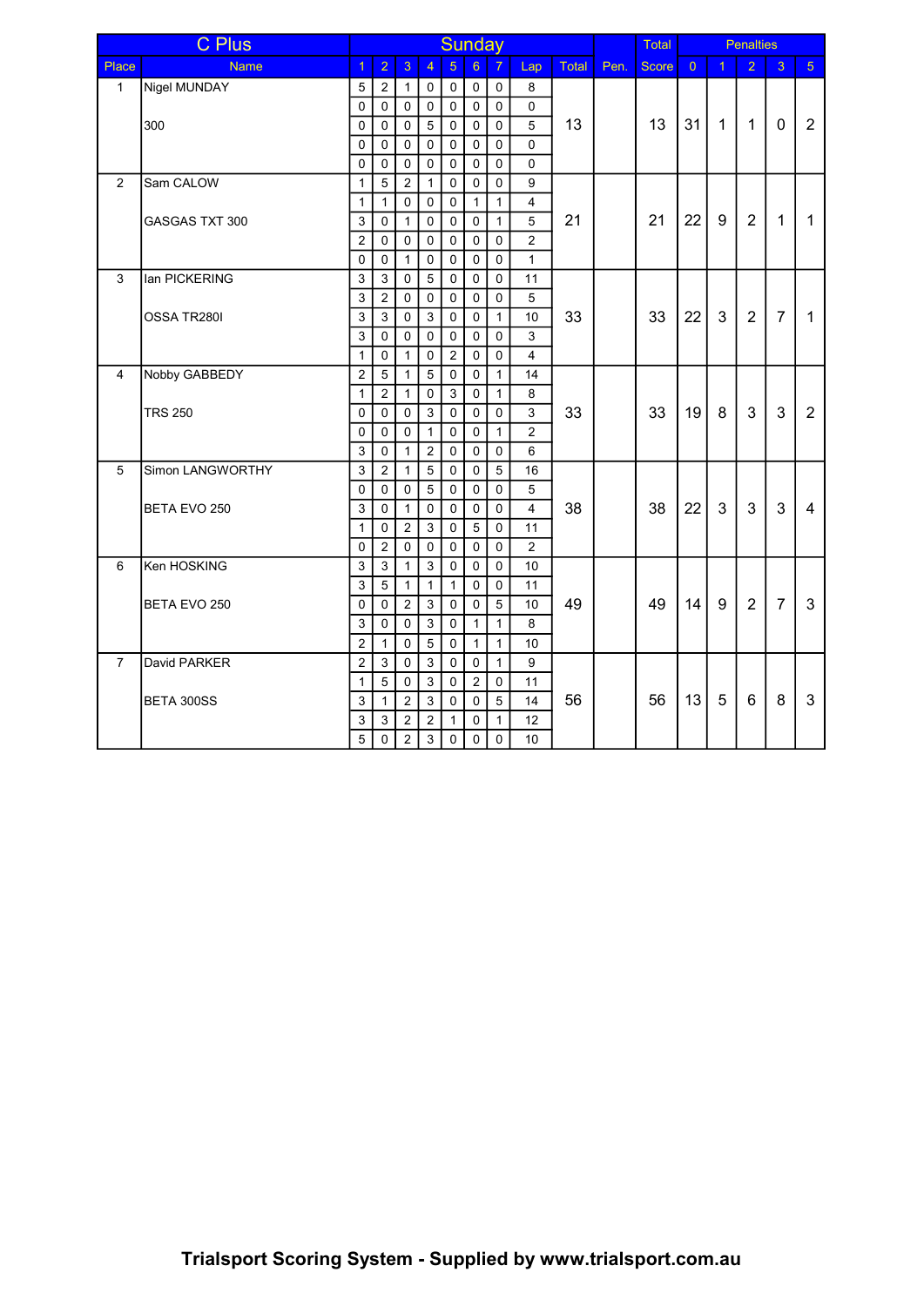|                | <b>C</b> Plus         | Sunday         |                |                |                |                |                     |                |                         |       |      | Total<br><b>Penalties</b> |                |                |                |                |                |
|----------------|-----------------------|----------------|----------------|----------------|----------------|----------------|---------------------|----------------|-------------------------|-------|------|---------------------------|----------------|----------------|----------------|----------------|----------------|
| Place          | <b>Name</b>           | $\overline{1}$ | $\overline{2}$ | 3              | $\overline{4}$ | $\overline{5}$ | $6\phantom{a}$      | $\overline{7}$ | Lap                     | Total | Pen. | <b>Score</b>              | $\overline{0}$ | $\overline{1}$ | $\overline{2}$ | 3              | 5 <sup>1</sup> |
| $\mathbf{1}$   | Nigel MUNDAY          | 5              | $\overline{2}$ | $\mathbf{1}$   | $\mathbf 0$    | $\mathbf 0$    | $\mathsf 0$         | 0              | 8                       |       |      |                           |                |                |                |                |                |
|                |                       | 0              | $\Omega$       | $\pmb{0}$      | $\mathbf 0$    | $\mathbf 0$    | $\mathsf{O}\xspace$ | 0              | $\mathbf 0$             |       |      |                           |                |                |                |                |                |
|                | 300                   | 0              | $\mathbf 0$    | $\pmb{0}$      | 5              | $\mathbf 0$    | $\mathsf{O}\xspace$ | $\mathbf 0$    | 5                       | 13    |      | 13                        | 31             | $\mathbf{1}$   | $\mathbf{1}$   | $\Omega$       | $\overline{2}$ |
|                |                       | 0              | $\Omega$       | 0              | $\Omega$       | $\Omega$       | 0                   | $\Omega$       | $\Omega$                |       |      |                           |                |                |                |                |                |
|                |                       | $\mathbf{0}$   | $\Omega$       | $\mathbf 0$    | $\Omega$       | $\Omega$       | $\mathbf 0$         | $\Omega$       | $\Omega$                |       |      |                           |                |                |                |                |                |
| $\overline{2}$ | Sam CALOW             | $\mathbf{1}$   | 5              | 2              | $\mathbf{1}$   | $\Omega$       | $\mathbf 0$         | $\Omega$       | 9                       |       |      |                           |                |                |                |                |                |
|                |                       | $\mathbf{1}$   | $\mathbf{1}$   | $\mathbf 0$    | $\Omega$       | $\Omega$       | $\mathbf{1}$        | $\mathbf{1}$   | $\overline{4}$          |       |      |                           |                |                |                |                |                |
|                | <b>GASGAS TXT 300</b> | 3              | $\Omega$       | $\mathbf{1}$   | $\Omega$       | $\Omega$       | $\mathbf 0$         | $\mathbf{1}$   | 5                       | 21    |      | 21                        | 22             | 9              | 2              | $\mathbf{1}$   | $\mathbf{1}$   |
|                |                       | $\overline{2}$ | $\Omega$       | $\mathbf 0$    | $\Omega$       | $\Omega$       | $\mathbf 0$         | $\Omega$       | $\overline{2}$          |       |      |                           |                |                |                |                |                |
|                |                       | $\mathbf{0}$   | $\Omega$       | $\mathbf{1}$   | $\Omega$       | $\Omega$       | $\mathbf 0$         | $\Omega$       | $\mathbf{1}$            |       |      |                           |                |                |                |                |                |
| 3              | lan PICKERING         | 3              | 3              | $\mathbf 0$    | 5              | $\mathbf 0$    | $\mathbf 0$         | $\Omega$       | 11                      |       |      |                           |                |                |                |                |                |
|                |                       | 3              | $\overline{2}$ | 0              | $\Omega$       | $\Omega$       | $\mathbf 0$         | $\mathbf 0$    | 5                       |       |      |                           |                |                |                |                |                |
|                | OSSA TR280I           | 3              | 3              | $\mathbf 0$    | 3              | $\Omega$       | $\mathbf 0$         | $\mathbf{1}$   | 10 <sup>°</sup>         | 33    |      | 33                        | 22             | 3              | 2              | $\overline{7}$ | $\mathbf{1}$   |
|                |                       | 3              | $\Omega$       | 0              | $\Omega$       | $\Omega$       | $\mathbf 0$         | $\Omega$       | 3                       |       |      |                           |                |                |                |                |                |
|                |                       | $\mathbf{1}$   | $\Omega$       | $\mathbf{1}$   | $\Omega$       | 2              | $\pmb{0}$           | $\Omega$       | $\overline{\mathbf{4}}$ |       |      |                           |                |                |                |                |                |
| 4              | Nobby GABBEDY         | $\overline{2}$ | $\overline{5}$ | $\mathbf{1}$   | 5              | $\mathbf 0$    | 0                   | $\mathbf{1}$   | 14                      |       |      |                           |                |                |                |                |                |
|                |                       | $\mathbf{1}$   | $\overline{2}$ | $\mathbf{1}$   | $\Omega$       | 3              | 0                   | $\mathbf{1}$   | 8                       |       |      |                           |                |                |                |                |                |
|                | <b>TRS 250</b>        | $\mathbf{0}$   | $\Omega$       | $\mathbf 0$    | 3              | $\mathbf 0$    | 0                   | $\mathbf 0$    | 3                       | 33    |      | 33                        | 19             | 8              | 3              | $\mathbf{3}$   | $\overline{2}$ |
|                |                       | $\mathbf{0}$   | $\Omega$       | $\mathbf 0$    | $\mathbf{1}$   | $\mathbf 0$    | 0                   | $\mathbf{1}$   | $\overline{2}$          |       |      |                           |                |                |                |                |                |
|                |                       | 3              | $\Omega$       | $\mathbf{1}$   | $\overline{2}$ | $\Omega$       | 0                   | 0              | 6                       |       |      |                           |                |                |                |                |                |
| 5              | Simon LANGWORTHY      | 3              | $\overline{2}$ | $\mathbf{1}$   | 5              | $\mathbf 0$    | 0                   | 5              | 16                      |       |      |                           |                |                |                |                |                |
|                |                       | $\mathbf{0}$   | $\Omega$       | $\mathbf 0$    | 5              | $\mathbf 0$    | 0                   | 0              | 5                       |       |      |                           |                |                |                |                |                |
|                | BETA EVO 250          | 3              | $\mathbf 0$    | $\mathbf{1}$   | $\mathbf 0$    | $\mathbf 0$    | 0                   | $\mathbf 0$    | $\overline{4}$          | 38    |      | 38                        | 22             | 3              | 3              | $\mathbf{3}$   | $\overline{4}$ |
|                |                       | $\mathbf{1}$   | $\mathbf 0$    | $\overline{2}$ | 3              | $\mathbf 0$    | $\overline{5}$      | 0              | 11                      |       |      |                           |                |                |                |                |                |
|                |                       | 0              | $\overline{2}$ | $\mathbf 0$    | $\mathbf 0$    | $\mathbf 0$    | 0                   | 0              | $\overline{2}$          |       |      |                           |                |                |                |                |                |
| 6              | Ken HOSKING           | 3              | 3              | 1              | 3              | $\mathbf 0$    | $\pmb{0}$           | $\mathbf 0$    | 10                      |       |      |                           |                |                |                |                |                |
|                |                       | 3              | 5              | 1              | $\mathbf{1}$   | $\mathbf{1}$   | 0                   | 0              | 11                      |       |      |                           |                |                |                |                |                |
|                | BETA EVO 250          | 0              | $\mathbf 0$    | $\overline{2}$ | 3              | $\mathbf 0$    | 0                   | 5              | 10                      | 49    |      | 49                        | 14             | 9              | $\overline{2}$ | $\overline{7}$ | $\mathfrak{S}$ |
|                |                       | 3              | $\Omega$       | $\Omega$       | 3              | $\Omega$       | $\mathbf{1}$        | $\mathbf{1}$   | 8                       |       |      |                           |                |                |                |                |                |
|                |                       | $\overline{2}$ | $\mathbf{1}$   | $\mathbf 0$    | 5              | $\Omega$       | $\mathbf{1}$        | $\mathbf{1}$   | 10 <sup>°</sup>         |       |      |                           |                |                |                |                |                |
| $\overline{7}$ | David PARKER          | $\overline{2}$ | 3              | $\Omega$       | 3              | $\Omega$       | $\mathbf 0$         | $\mathbf{1}$   | 9                       |       |      |                           |                |                |                |                |                |
|                |                       | $\mathbf{1}$   | 5              | 0              | 3              | $\Omega$       | $\overline{2}$      | $\mathbf 0$    | 11                      |       |      |                           |                |                |                |                |                |
|                | BETA 300SS            | 3              | $\mathbf{1}$   | $\overline{2}$ | 3              | $\mathbf 0$    | $\mathbf 0$         | 5              | 14                      | 56    |      | 56                        | 13             | 5              | 6              | 8              | 3              |
|                |                       | 3              | 3              | $\overline{2}$ | 2              | $\mathbf{1}$   | $\mathbf 0$         | $\mathbf{1}$   | 12                      |       |      |                           |                |                |                |                |                |
|                |                       | 5              | $\Omega$       | $\overline{2}$ | $\mathbf{3}$   | $\mathbf 0$    | $\mathbf 0$         | 0              | 10 <sup>°</sup>         |       |      |                           |                |                |                |                |                |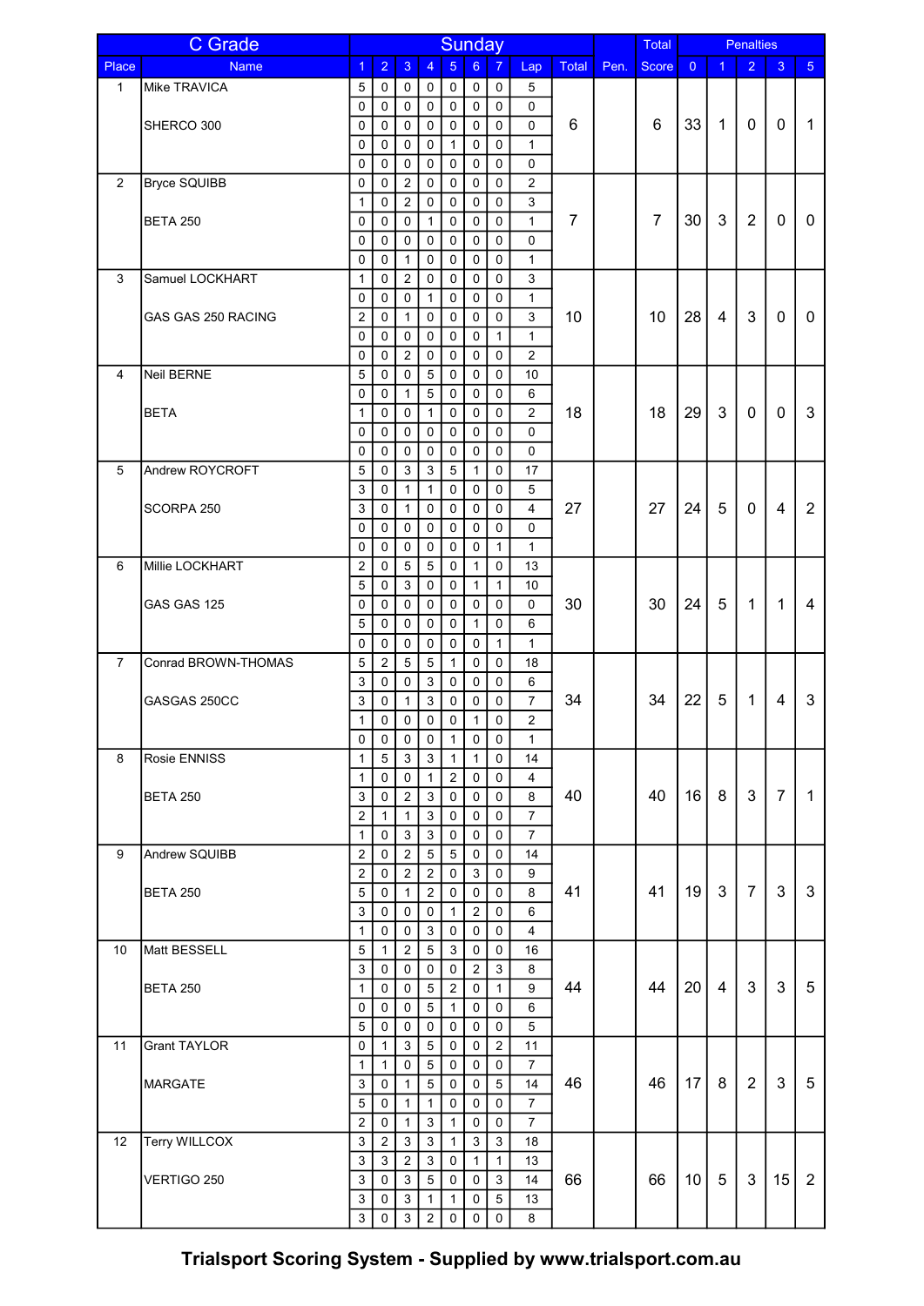|                | <b>C</b> Grade      | <b>Sunday</b>                |                |                  |                |                                |                     |                     |                         | Total          |      |                | <b>Penalties</b> |              |                |                         |                |
|----------------|---------------------|------------------------------|----------------|------------------|----------------|--------------------------------|---------------------|---------------------|-------------------------|----------------|------|----------------|------------------|--------------|----------------|-------------------------|----------------|
| Place          | <b>Name</b>         | $\mathbf{1}$                 | $\overline{2}$ | 3                | $\overline{4}$ | 5                              | 6 <sup>1</sup>      | $\overline{7}$      | Lap                     | <b>Total</b>   | Pen. | <b>Score</b>   | $\Omega$         | 1            | $\overline{2}$ | 3                       | 5 <sup>1</sup> |
| 1              | Mike TRAVICA        | 5                            | 0              | 0                | 0              | 0                              | $\mathbf 0$         | 0                   | 5                       |                |      |                |                  |              |                |                         |                |
|                |                     | 0                            | $\mathbf 0$    | 0                | 0              | $\mathbf 0$                    | $\mathsf 0$         | $\mathbf 0$         | $\pmb{0}$               |                |      |                |                  |              |                |                         |                |
|                | SHERCO 300          | 0                            | 0              | 0                | 0              | $\mathbf 0$                    | $\mathbf 0$         | 0                   | $\mathbf 0$             | 6              |      | 6              | 33               | $\mathbf{1}$ | 0              | $\mathbf{0}$            | $\mathbf{1}$   |
|                |                     | 0                            | 0              | 0                | 0              | $\mathbf{1}$                   | $\pmb{0}$           | 0                   | $\mathbf{1}$            |                |      |                |                  |              |                |                         |                |
|                |                     | 0                            | 0              | $\mathbf 0$      | $\mathbf 0$    | $\mathbf 0$                    | $\pmb{0}$           | $\mathbf 0$         | $\mathbf 0$             |                |      |                |                  |              |                |                         |                |
| $\overline{2}$ | <b>Bryce SQUIBB</b> | 0                            | 0              | $\overline{2}$   | 0              | $\mathbf 0$                    | $\mathbf 0$         | 0                   | $\overline{2}$          |                |      |                |                  |              |                |                         |                |
|                |                     | $\mathbf{1}$                 | 0              | $\overline{2}$   | 0              | $\mathbf 0$                    | $\pmb{0}$           | 0                   | $\mathsf 3$             |                |      |                |                  |              |                |                         |                |
|                | <b>BETA 250</b>     | 0                            | 0              | 0                | $\mathbf{1}$   | $\Omega$                       | 0                   | 0                   | $\mathbf{1}$            | $\overline{7}$ |      | $\overline{7}$ | 30               | 3            | $\overline{2}$ | 0                       | 0              |
|                |                     | 0                            | 0              | 0                | 0              | $\mathbf 0$                    | $\mathbf 0$         | $\mathbf 0$         | $\mathbf 0$             |                |      |                |                  |              |                |                         |                |
|                |                     | $\mathbf 0$                  | $\mathbf 0$    | 1                | 0              | $\mathbf 0$                    | $\mathbf 0$         | $\mathbf 0$         | $\mathbf{1}$            |                |      |                |                  |              |                |                         |                |
| 3              | Samuel LOCKHART     | $\mathbf{1}$                 | 0              | $\overline{2}$   | 0              | $\mathbf 0$                    | $\mathbf 0$         | $\mathbf 0$         | $\mathsf 3$             |                |      |                |                  |              |                |                         |                |
|                |                     | 0                            | 0              | 0                | 1              | $\mathbf 0$                    | 0                   | 0                   | $\mathbf{1}$            |                |      |                |                  |              |                |                         |                |
|                | GAS GAS 250 RACING  | 2                            | 0              | 1                | 0              | $\mathbf 0$                    | $\pmb{0}$           | $\mathbf 0$         | $\mathsf 3$             | 10             |      | 10             | 28               | 4            | 3              | 0                       | 0              |
|                |                     | 0                            | 0              | 0                | 0              | 0                              | 0                   | $\mathbf{1}$        | $\mathbf{1}$            |                |      |                |                  |              |                |                         |                |
|                |                     | 0                            | 0              | $\overline{2}$   | 0              | 0                              | 0                   | 0                   | $\overline{c}$          |                |      |                |                  |              |                |                         |                |
| 4              | Neil BERNE          | 5                            | $\Omega$       | 0                | 5              | $\Omega$                       | 0                   | 0                   | 10                      |                |      |                |                  |              |                |                         |                |
|                |                     | 0                            | $\Omega$       | 1                | 5              | $\Omega$                       | 0                   | 0                   | 6                       |                |      |                |                  |              |                |                         |                |
|                | <b>BETA</b>         | $\mathbf{1}$                 | 0              | 0                | $\mathbf{1}$   | $\mathbf 0$                    | $\pmb{0}$           | 0                   | $\overline{c}$          | 18             |      | 18             | 29               | 3            | 0              | $\mathbf 0$             | 3              |
|                |                     | 0                            | 0              | 0                | 0              | $\mathbf 0$                    | 0                   | 0                   | 0                       |                |      |                |                  |              |                |                         |                |
|                |                     | 0                            | 0              | 0                | 0              | $\mathbf 0$                    | $\mathbf 0$         | 0                   | $\mathbf 0$             |                |      |                |                  |              |                |                         |                |
| 5              | Andrew ROYCROFT     | 5                            | $\Omega$       | $\mathbf{3}$     | 3              | $\sqrt{5}$                     | $\mathbf{1}$        | 0                   | 17                      |                |      |                |                  |              |                |                         |                |
|                |                     | 3                            | 0              | $\mathbf{1}$     | $\mathbf{1}$   | $\mathbf 0$                    | $\pmb{0}$           | 0                   | 5                       |                |      |                |                  |              |                |                         |                |
|                | SCORPA 250          | 3                            | 0              | $\mathbf{1}$     | 0              | $\mathbf 0$                    | $\mathbf 0$         | 0                   | $\overline{\mathbf{4}}$ | 27             |      | 27             | 24               | 5            | 0              | $\overline{\mathbf{4}}$ | $\overline{2}$ |
|                |                     | 0                            | $\Omega$       | $\mathbf 0$      | $\Omega$       | $\Omega$                       | $\mathbf 0$         | 0                   | $\mathbf 0$             |                |      |                |                  |              |                |                         |                |
|                |                     | 0                            | 0              | 0                | 0              | $\Omega$                       | 0                   | $\mathbf{1}$        | $\mathbf{1}$            |                |      |                |                  |              |                |                         |                |
| 6              | Millie LOCKHART     | $\overline{2}$               | 0              | 5                | $\sqrt{5}$     | $\mathbf 0$                    | $\mathbf{1}$        | $\mathbf 0$         | 13                      |                |      |                |                  |              |                |                         |                |
|                |                     | 5                            | 0              | 3                | 0              | $\mathbf 0$                    | $\mathbf{1}$        | $\mathbf{1}$        | 10                      |                |      |                |                  |              |                |                         |                |
|                | GAS GAS 125         | 0                            | 0              | 0                | 0              | 0                              | $\mathbf 0$         | $\mathbf 0$         | 0                       | 30             |      | 30             | 24               | 5            | $\mathbf{1}$   | $\mathbf{1}$            | $\overline{4}$ |
|                |                     | 5                            | 0              | 0                | 0              | $\mathbf 0$                    | $\mathbf{1}$        | 0                   | 6                       |                |      |                |                  |              |                |                         |                |
|                |                     | 0                            | $\mathbf 0$    | 0                | 0              | 0                              | 0                   | $\mathbf{1}$        | $\mathbf{1}$            |                |      |                |                  |              |                |                         |                |
| $\overline{7}$ | Conrad BROWN-THOMAS | 5                            | $\overline{c}$ | 5                | $\overline{5}$ | $\mathbf{1}$                   | $\mathbf 0$         | 0                   | 18                      |                |      |                |                  |              |                |                         |                |
|                |                     | 3                            | $\Omega$       | 0                | 3              | $\mathbf 0$                    | 0                   | 0                   | 6                       |                |      |                |                  |              |                |                         |                |
|                | GASGAS 250CC        | 3                            | 0              | 1                | 3              | 0                              | 0                   | 0                   | $\overline{7}$          | 34             |      | 34             | 22               | 5            | 1              | 4                       | 3              |
|                |                     | $\mathbf{1}$                 | 0              | 0                | $\mathbf 0$    | $\mathbf 0$                    | $\mathbf{1}$        | $\mathbf 0$         | $\overline{2}$          |                |      |                |                  |              |                |                         |                |
|                | Rosie ENNISS        | 0                            | 0<br>5         | 0                | 0<br>3         | $\mathbf{1}$<br>$\overline{1}$ | 0<br>$\mathbf{1}$   | 0                   | 1                       |                |      |                |                  |              |                |                         |                |
| 8              |                     | $\mathbf{1}$<br>$\mathbf{1}$ | 0              | 3<br>$\mathbf 0$ | $\mathbf{1}$   | $\overline{2}$                 | $\mathsf 0$         | $\Omega$<br>0       | 14<br>$\overline{4}$    |                |      |                |                  |              |                |                         |                |
|                | <b>BETA 250</b>     | 3                            | 0              | $\overline{2}$   | 3              | $\mathbf 0$                    | $\mathsf 0$         | $\pmb{0}$           | 8                       | 40             |      | 40             | 16               | 8            | 3              | $\overline{7}$          | $\mathbf{1}$   |
|                |                     | $\overline{2}$               | $\mathbf{1}$   | $\mathbf{1}$     | $\mathfrak{Z}$ | $\mathbf 0$                    | $\mathsf 0$         | 0                   | $\overline{7}$          |                |      |                |                  |              |                |                         |                |
|                |                     | $\mathbf{1}$                 | 0              | $\mathbf{3}$     | 3              | $\mathbf 0$                    | $\mathsf{O}\xspace$ | 0                   | $\overline{7}$          |                |      |                |                  |              |                |                         |                |
| 9              | Andrew SQUIBB       | $\mathbf 2$                  | 0              | $\overline{2}$   | $\overline{5}$ | 5                              | $\mathbf 0$         | 0                   | 14                      |                |      |                |                  |              |                |                         |                |
|                |                     | $\overline{2}$               | 0              | $\overline{2}$   | $\overline{2}$ | $\mathbf 0$                    | $\mathfrak{S}$      | $\mathbf 0$         | 9                       |                |      |                |                  |              |                |                         |                |
|                | <b>BETA 250</b>     | $\overline{5}$               | 0              | $\mathbf{1}$     | $\overline{2}$ | $\mathbf 0$                    | $\mathsf 0$         | $\mathbf 0$         | 8                       | 41             |      | 41             | 19               | 3            | $\overline{7}$ | 3                       | 3              |
|                |                     | $\mathsf 3$                  | 0              | 0                | $\mathbf 0$    | $\mathbf{1}$                   | $\overline{2}$      | $\mathsf{O}\xspace$ | 6                       |                |      |                |                  |              |                |                         |                |
|                |                     | $\mathbf{1}$                 | 0              | 0                | 3              | $\mathbf 0$                    | $\mathsf{O}\xspace$ | $\mathbf 0$         | 4                       |                |      |                |                  |              |                |                         |                |
| 10             | Matt BESSELL        | 5                            | $\mathbf{1}$   | $\overline{a}$   | $\sqrt{5}$     | 3                              | $\mathbf 0$         | $\mathbf 0$         | 16                      |                |      |                |                  |              |                |                         |                |
|                |                     | 3                            | 0              | 0                | 0              | 0                              | $\sqrt{2}$          | 3                   | 8                       |                |      |                |                  |              |                |                         |                |
|                | <b>BETA 250</b>     | $\mathbf{1}$                 | 0              | 0                | 5              | $\overline{2}$                 | $\mathbf 0$         | $\mathbf{1}$        | 9                       | 44             |      | 44             | 20               | 4            | 3              | 3                       | 5              |
|                |                     | 0                            | 0              | 0                | 5              | $\mathbf{1}$                   | 0                   | 0                   | 6                       |                |      |                |                  |              |                |                         |                |
|                |                     | 5                            | 0              | 0                | 0              | $\mathbf 0$                    | 0                   | 0                   | 5                       |                |      |                |                  |              |                |                         |                |
| 11             | <b>Grant TAYLOR</b> | $\pmb{0}$                    | $\mathbf{1}$   | 3                | $\sqrt{5}$     | $\mathbf 0$                    | $\mathsf{O}\xspace$ | $\overline{2}$      | 11                      |                |      |                |                  |              |                |                         |                |
|                |                     | $\mathbf{1}$                 | $\mathbf{1}$   | 0                | 5              | $\mathbf 0$                    | $\mathbf 0$         | 0                   | $\overline{7}$          |                |      |                |                  |              |                |                         |                |
|                | <b>MARGATE</b>      | 3                            | $\mathbf 0$    | $\mathbf{1}$     | 5              | $\mathbf 0$                    | $\mathbf 0$         | 5                   | 14                      | 46             |      | 46             | 17               | 8            | $\overline{2}$ | 3                       | 5              |
|                |                     | 5                            | 0              | $\mathbf{1}$     | $\mathbf{1}$   | $\mathbf 0$                    | $\mathbf 0$         | 0                   | $\overline{7}$          |                |      |                |                  |              |                |                         |                |
|                |                     | $\overline{c}$               | $\mathbf 0$    | $\mathbf{1}$     | 3              | $\mathbf{1}$                   | $\mathsf{O}\xspace$ | 0                   | $\overline{7}$          |                |      |                |                  |              |                |                         |                |
| 12             | Terry WILLCOX       | $\mathsf 3$                  | $\overline{c}$ | 3                | 3              | $\mathbf{1}$                   | $\mathbf{3}$        | $\mathfrak{S}$      | 18                      |                |      |                |                  |              |                |                         |                |
|                |                     | 3                            | 3              | $\overline{2}$   | 3              | $\mathbf 0$                    | $\mathbf{1}$        | $\mathbf{1}$        | 13                      |                |      |                |                  |              |                |                         |                |
|                | VERTIGO 250         | 3                            | 0              | 3                | 5              | 0                              | $\mathbf 0$         | 3                   | 14                      | 66             |      | 66             | 10 <sup>°</sup>  | 5            | 3              | 15                      | $\overline{2}$ |
|                |                     | $\mathfrak{S}$               | 0              | 3                | $\mathbf{1}$   | $\mathbf{1}$                   | 0                   | 5                   | 13                      |                |      |                |                  |              |                |                         |                |
|                |                     | 3                            | $\mathbf 0$    | $\mathbf{3}$     | $\overline{2}$ | $\mathbf 0$                    | 0                   | $\mathbf 0$         | 8                       |                |      |                |                  |              |                |                         |                |

Trialsport Scoring System - Supplied by www.trialsport.com.au